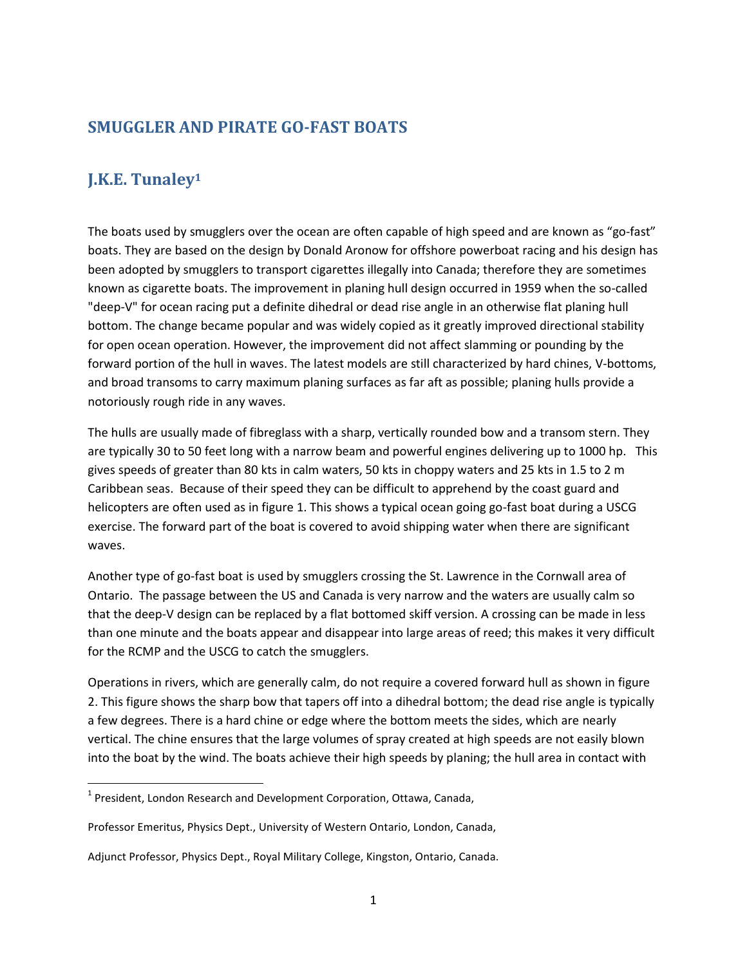### **SMUGGLER AND PIRATE GO-FAST BOATS**

# **J.K.E. Tunaley<sup>1</sup>**

 $\overline{\phantom{a}}$ 

The boats used by smugglers over the ocean are often capable of high speed and are known as "go-fast" boats. They are based on the design by Donald Aronow for offshore powerboat racing and his design has been adopted by smugglers to transport cigarettes illegally into Canada; therefore they are sometimes known as cigarette boats. The improvement in planing hull design occurred in 1959 when the so-called "deep-V" for ocean racing put a definite dihedral or dead rise angle in an otherwise flat planing hull bottom. The change became popular and was widely copied as it greatly improved directional stability for open ocean operation. However, the improvement did not affect slamming or pounding by the forward portion of the hull in waves. The latest models are still characterized by hard chines, V-bottoms, and broad transoms to carry maximum planing surfaces as far aft as possible; planing hulls provide a notoriously rough ride in any waves.

The hulls are usually made of fibreglass with a sharp, vertically rounded bow and a transom stern. They are typically 30 to 50 feet long with a narrow beam and powerful engines delivering up to 1000 hp. This gives speeds of greater than 80 kts in calm waters, 50 kts in choppy waters and 25 kts in 1.5 to 2 m Caribbean seas. Because of their speed they can be difficult to apprehend by the coast guard and helicopters are often used as in figure 1. This shows a typical ocean going go-fast boat during a USCG exercise. The forward part of the boat is covered to avoid shipping water when there are significant waves.

Another type of go-fast boat is used by smugglers crossing the St. Lawrence in the Cornwall area of Ontario. The passage between the US and Canada is very narrow and the waters are usually calm so that the deep-V design can be replaced by a flat bottomed skiff version. A crossing can be made in less than one minute and the boats appear and disappear into large areas of reed; this makes it very difficult for the RCMP and the USCG to catch the smugglers.

Operations in rivers, which are generally calm, do not require a covered forward hull as shown in figure 2. This figure shows the sharp bow that tapers off into a dihedral bottom; the dead rise angle is typically a few degrees. There is a hard chine or edge where the bottom meets the sides, which are nearly vertical. The chine ensures that the large volumes of spray created at high speeds are not easily blown into the boat by the wind. The boats achieve their high speeds by planing; the hull area in contact with

<sup>&</sup>lt;sup>1</sup> President, London Research and Development Corporation, Ottawa, Canada,

Professor Emeritus, Physics Dept., University of Western Ontario, London, Canada,

Adjunct Professor, Physics Dept., Royal Military College, Kingston, Ontario, Canada.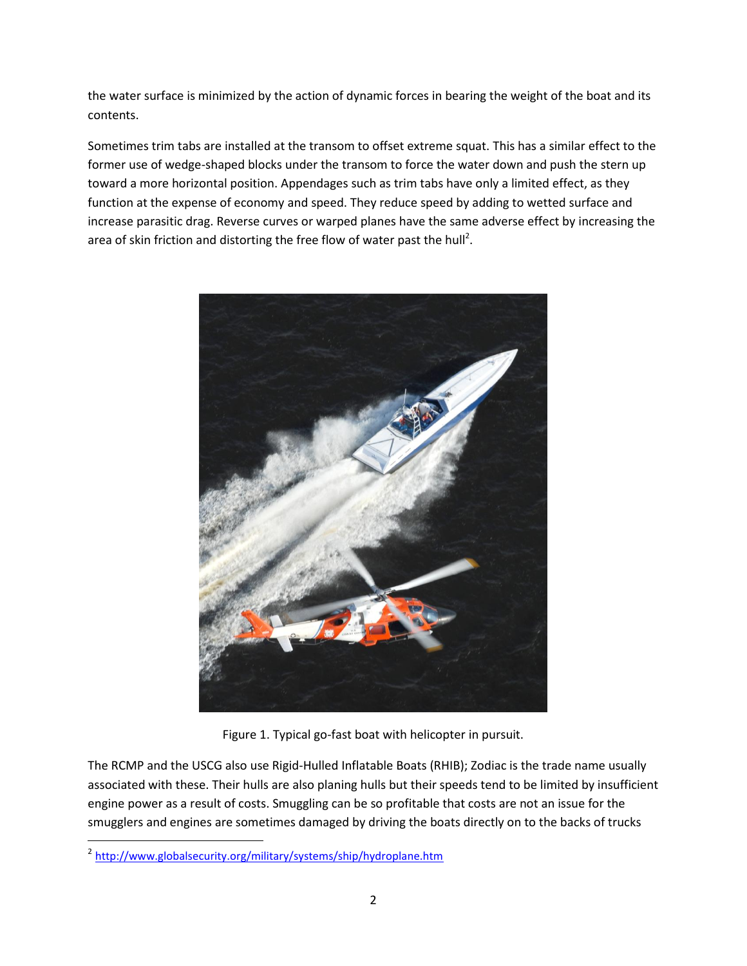the water surface is minimized by the action of dynamic forces in bearing the weight of the boat and its contents.

Sometimes trim tabs are installed at the transom to offset extreme squat. This has a similar effect to the former use of wedge-shaped blocks under the transom to force the water down and push the stern up toward a more horizontal position. Appendages such as trim tabs have only a limited effect, as they function at the expense of economy and speed. They reduce speed by adding to wetted surface and increase parasitic drag. Reverse curves or warped planes have the same adverse effect by increasing the area of skin friction and distorting the free flow of water past the hull<sup>2</sup>.



Figure 1. Typical go-fast boat with helicopter in pursuit.

The RCMP and the USCG also use Rigid-Hulled Inflatable Boats (RHIB); Zodiac is the trade name usually associated with these. Their hulls are also planing hulls but their speeds tend to be limited by insufficient engine power as a result of costs. Smuggling can be so profitable that costs are not an issue for the smugglers and engines are sometimes damaged by driving the boats directly on to the backs of trucks

 $\overline{a}$ 

<sup>&</sup>lt;sup>2</sup> <http://www.globalsecurity.org/military/systems/ship/hydroplane.htm>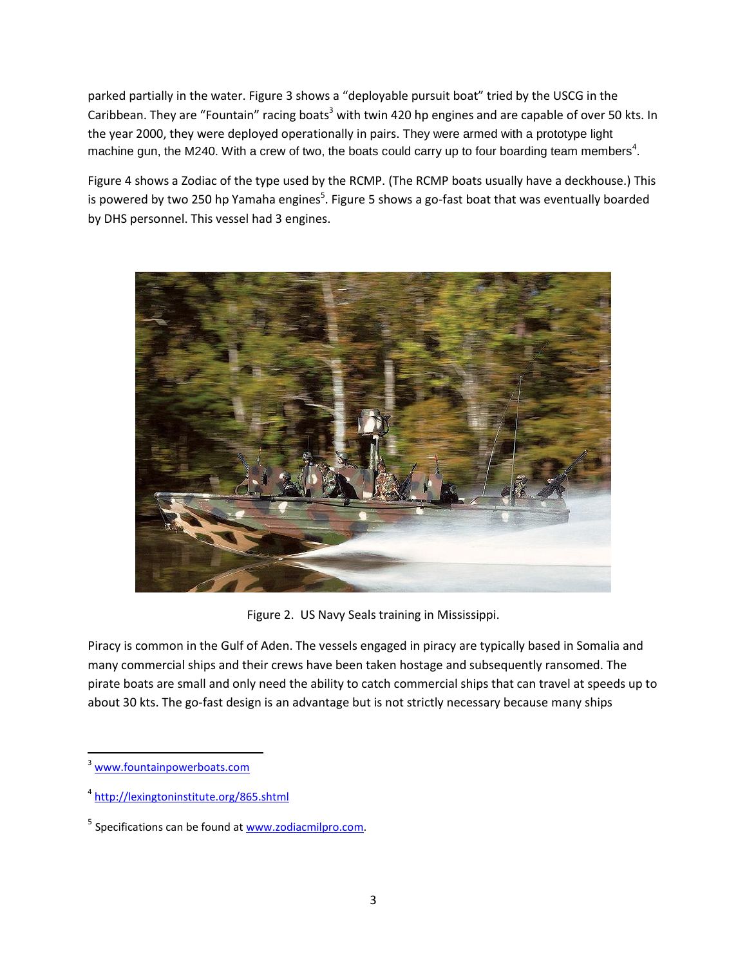parked partially in the water. Figure 3 shows a "deployable pursuit boat" tried by the USCG in the Caribbean. They are "Fountain" racing boats<sup>3</sup> with twin 420 hp engines and are capable of over 50 kts. In the year 2000, they were deployed operationally in pairs. They were armed with a prototype light machine gun, the M240. With a crew of two, the boats could carry up to four boarding team members<sup>4</sup>.

Figure 4 shows a Zodiac of the type used by the RCMP. (The RCMP boats usually have a deckhouse.) This is powered by two 250 hp Yamaha engines<sup>5</sup>. Figure 5 shows a go-fast boat that was eventually boarded by DHS personnel. This vessel had 3 engines.



Figure 2. US Navy Seals training in Mississippi.

Piracy is common in the Gulf of Aden. The vessels engaged in piracy are typically based in Somalia and many commercial ships and their crews have been taken hostage and subsequently ransomed. The pirate boats are small and only need the ability to catch commercial ships that can travel at speeds up to about 30 kts. The go-fast design is an advantage but is not strictly necessary because many ships

 $\overline{\phantom{a}}$ 

[www.fountainpowerboats.com](http://www.fountainpowerboats.com/)

<sup>4</sup> <http://lexingtoninstitute.org/865.shtml>

<sup>&</sup>lt;sup>5</sup> Specifications can be found at **www.zodiacmilpro.com**.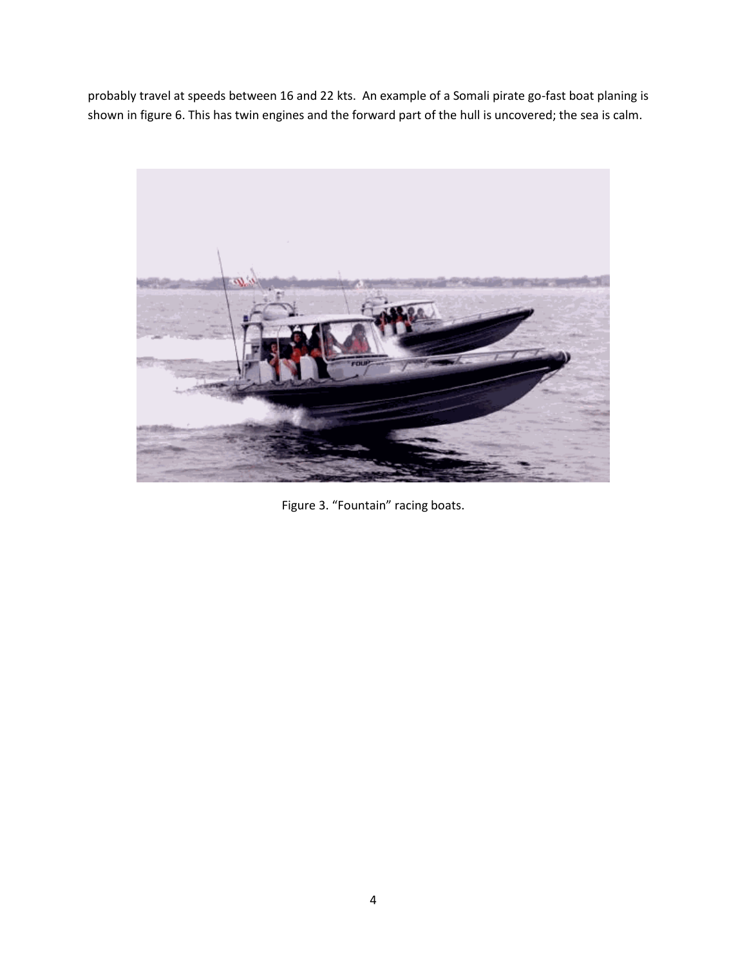probably travel at speeds between 16 and 22 kts. An example of a Somali pirate go-fast boat planing is shown in figure 6. This has twin engines and the forward part of the hull is uncovered; the sea is calm.



Figure 3. "Fountain" racing boats.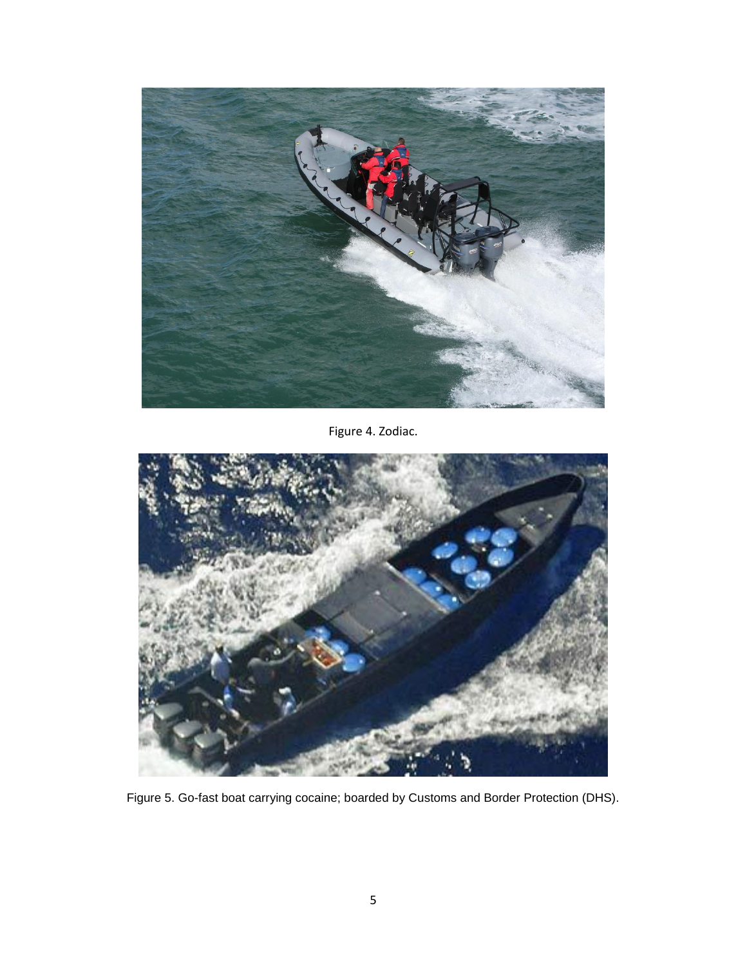

Figure 4. Zodiac.



Figure 5. Go-fast boat carrying cocaine; boarded by Customs and Border Protection (DHS).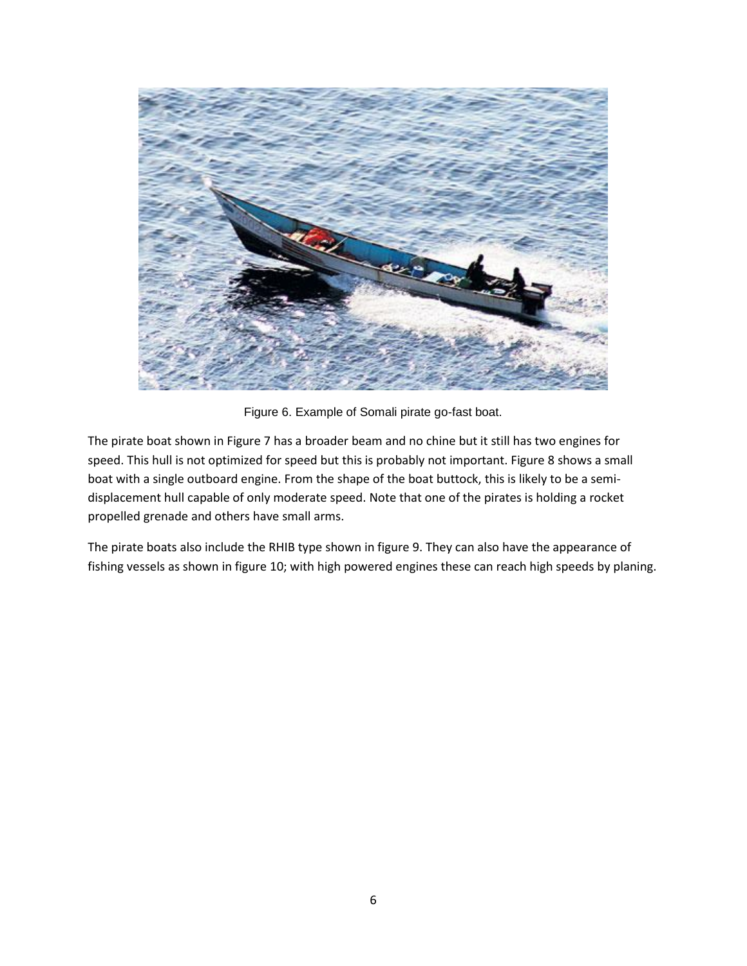

Figure 6. Example of Somali pirate go-fast boat.

The pirate boat shown in Figure 7 has a broader beam and no chine but it still has two engines for speed. This hull is not optimized for speed but this is probably not important. Figure 8 shows a small boat with a single outboard engine. From the shape of the boat buttock, this is likely to be a semidisplacement hull capable of only moderate speed. Note that one of the pirates is holding a rocket propelled grenade and others have small arms.

The pirate boats also include the RHIB type shown in figure 9. They can also have the appearance of fishing vessels as shown in figure 10; with high powered engines these can reach high speeds by planing.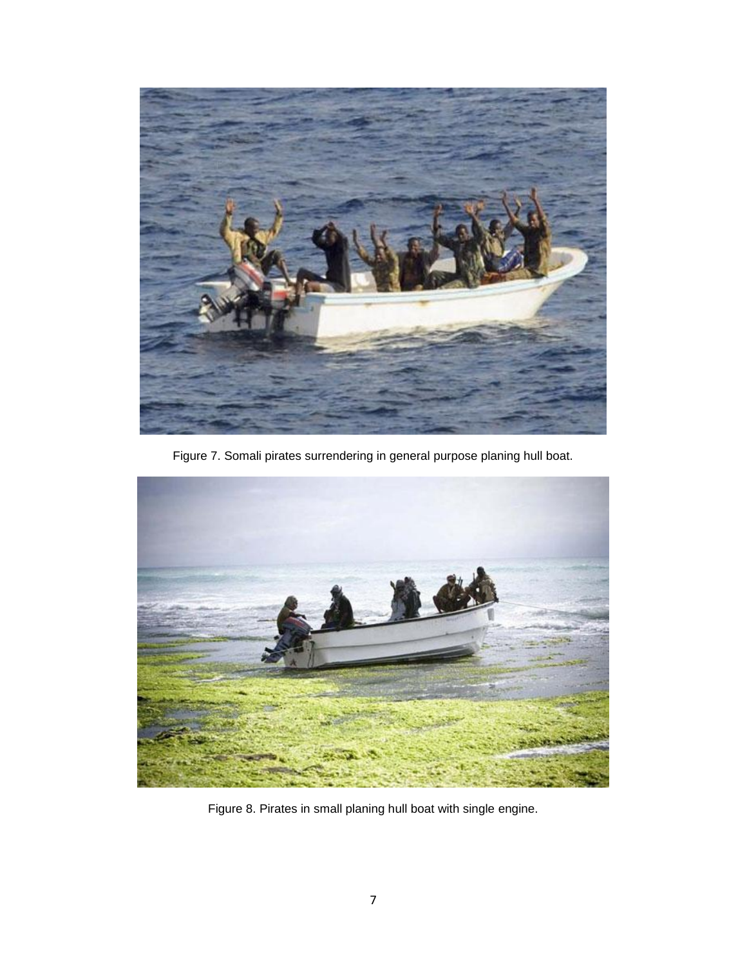

Figure 7. Somali pirates surrendering in general purpose planing hull boat.



Figure 8. Pirates in small planing hull boat with single engine.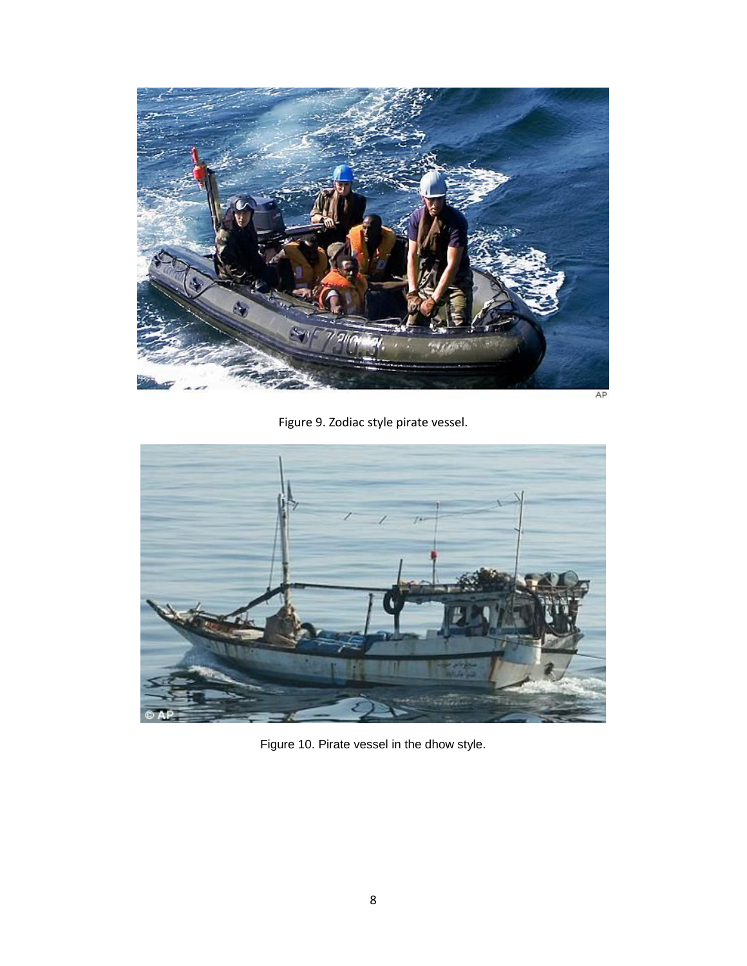

Figure 9. Zodiac style pirate vessel.



Figure 10. Pirate vessel in the dhow style.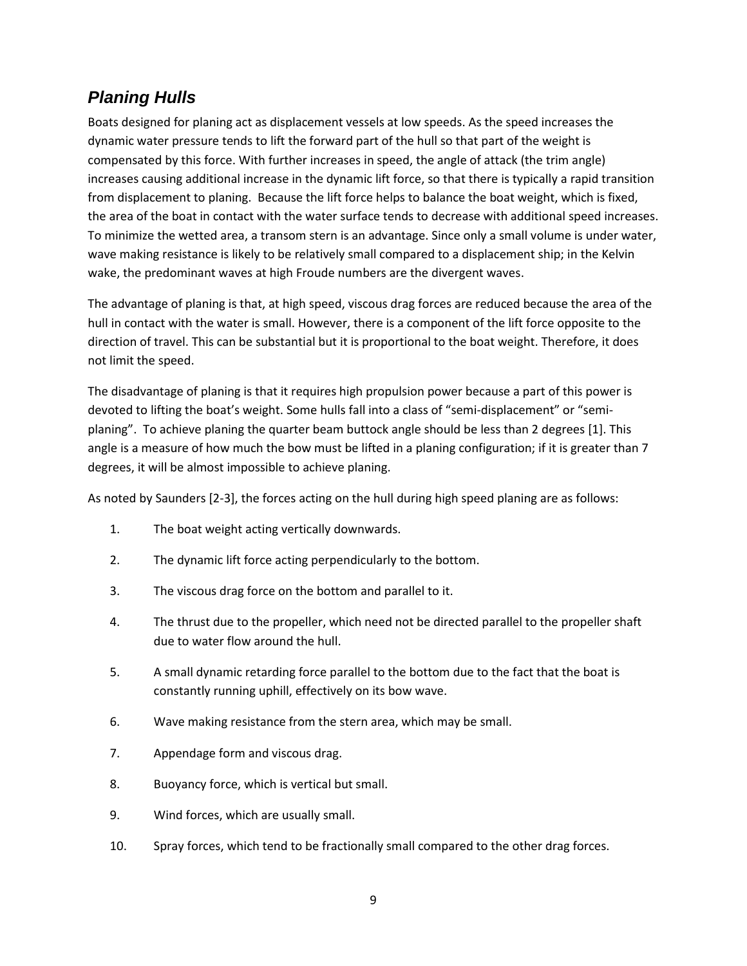# *Planing Hulls*

Boats designed for planing act as displacement vessels at low speeds. As the speed increases the dynamic water pressure tends to lift the forward part of the hull so that part of the weight is compensated by this force. With further increases in speed, the angle of attack (the trim angle) increases causing additional increase in the dynamic lift force, so that there is typically a rapid transition from displacement to planing. Because the lift force helps to balance the boat weight, which is fixed, the area of the boat in contact with the water surface tends to decrease with additional speed increases. To minimize the wetted area, a transom stern is an advantage. Since only a small volume is under water, wave making resistance is likely to be relatively small compared to a displacement ship; in the Kelvin wake, the predominant waves at high Froude numbers are the divergent waves.

The advantage of planing is that, at high speed, viscous drag forces are reduced because the area of the hull in contact with the water is small. However, there is a component of the lift force opposite to the direction of travel. This can be substantial but it is proportional to the boat weight. Therefore, it does not limit the speed.

The disadvantage of planing is that it requires high propulsion power because a part of this power is devoted to lifting the boat's weight. Some hulls fall into a class of "semi-displacement" or "semiplaning". To achieve planing the quarter beam buttock angle should be less than 2 degrees [1]. This angle is a measure of how much the bow must be lifted in a planing configuration; if it is greater than 7 degrees, it will be almost impossible to achieve planing.

As noted by Saunders [2-3], the forces acting on the hull during high speed planing are as follows:

- 1. The boat weight acting vertically downwards.
- 2. The dynamic lift force acting perpendicularly to the bottom.
- 3. The viscous drag force on the bottom and parallel to it.
- 4. The thrust due to the propeller, which need not be directed parallel to the propeller shaft due to water flow around the hull.
- 5. A small dynamic retarding force parallel to the bottom due to the fact that the boat is constantly running uphill, effectively on its bow wave.
- 6. Wave making resistance from the stern area, which may be small.
- 7. Appendage form and viscous drag.
- 8. Buoyancy force, which is vertical but small.
- 9. Wind forces, which are usually small.
- 10. Spray forces, which tend to be fractionally small compared to the other drag forces.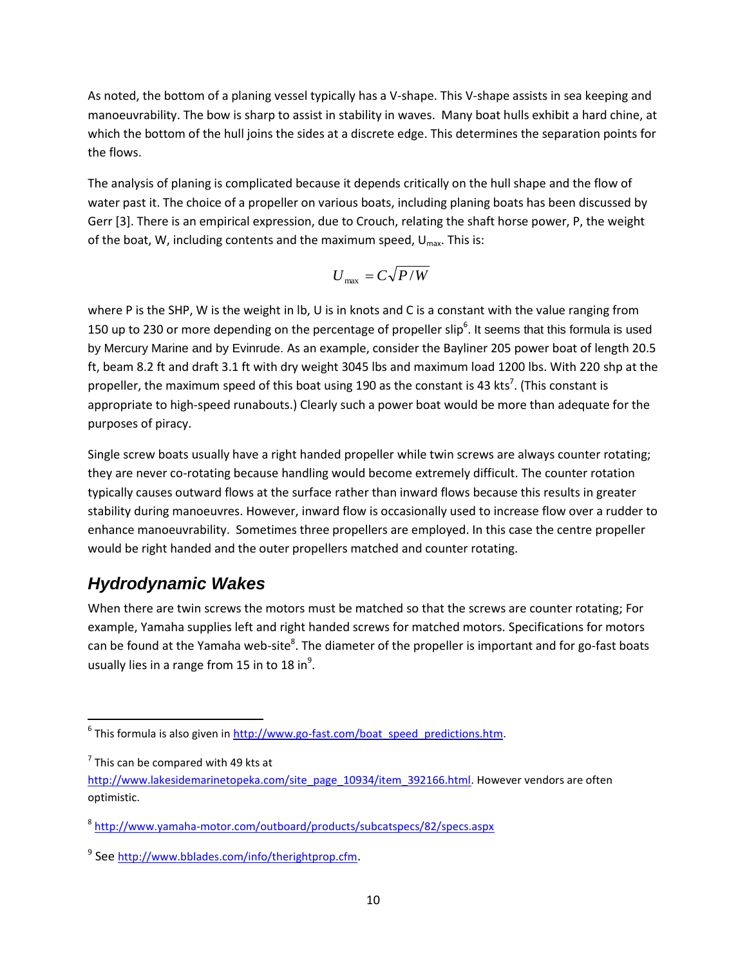As noted, the bottom of a planing vessel typically has a V-shape. This V-shape assists in sea keeping and manoeuvrability. The bow is sharp to assist in stability in waves. Many boat hulls exhibit a hard chine, at which the bottom of the hull joins the sides at a discrete edge. This determines the separation points for the flows.

The analysis of planing is complicated because it depends critically on the hull shape and the flow of water past it. The choice of a propeller on various boats, including planing boats has been discussed by Gerr [3]. There is an empirical expression, due to Crouch, relating the shaft horse power, P, the weight of the boat, W, including contents and the maximum speed,  $U_{\text{max}}$ . This is:

$$
U_{\text{max}} = C\sqrt{P/W}
$$

where P is the SHP, W is the weight in lb, U is in knots and C is a constant with the value ranging from 150 up to 230 or more depending on the percentage of propeller slip $^6$ . It seems that this formula is used by Mercury Marine and by Evinrude. As an example, consider the Bayliner 205 power boat of length 20.5 ft, beam 8.2 ft and draft 3.1 ft with dry weight 3045 lbs and maximum load 1200 lbs. With 220 shp at the propeller, the maximum speed of this boat using 190 as the constant is 43 kts<sup>7</sup>. (This constant is appropriate to high-speed runabouts.) Clearly such a power boat would be more than adequate for the purposes of piracy.

Single screw boats usually have a right handed propeller while twin screws are always counter rotating; they are never co-rotating because handling would become extremely difficult. The counter rotation typically causes outward flows at the surface rather than inward flows because this results in greater stability during manoeuvres. However, inward flow is occasionally used to increase flow over a rudder to enhance manoeuvrability. Sometimes three propellers are employed. In this case the centre propeller would be right handed and the outer propellers matched and counter rotating.

## *Hydrodynamic Wakes*

When there are twin screws the motors must be matched so that the screws are counter rotating; For example, Yamaha supplies left and right handed screws for matched motors. Specifications for motors can be found at the Yamaha web-site<sup>8</sup>. The diameter of the propeller is important and for go-fast boats usually lies in a range from 15 in to 18 in $^9$ .

l

<sup>&</sup>lt;sup>6</sup> This formula is also given in <u>http://www.go-fast.com/boat\_speed\_predictions.htm</u>.

 $7$  This can be compared with 49 kts at

[http://www.lakesidemarinetopeka.com/site\\_page\\_10934/item\\_392166.html.](http://www.lakesidemarinetopeka.com/site_page_10934/item_392166.html) However vendors are often optimistic.

<sup>&</sup>lt;sup>8</sup> <http://www.yamaha-motor.com/outboard/products/subcatspecs/82/specs.aspx>

<sup>&</sup>lt;sup>9</sup> See <http://www.bblades.com/info/therightprop.cfm>.